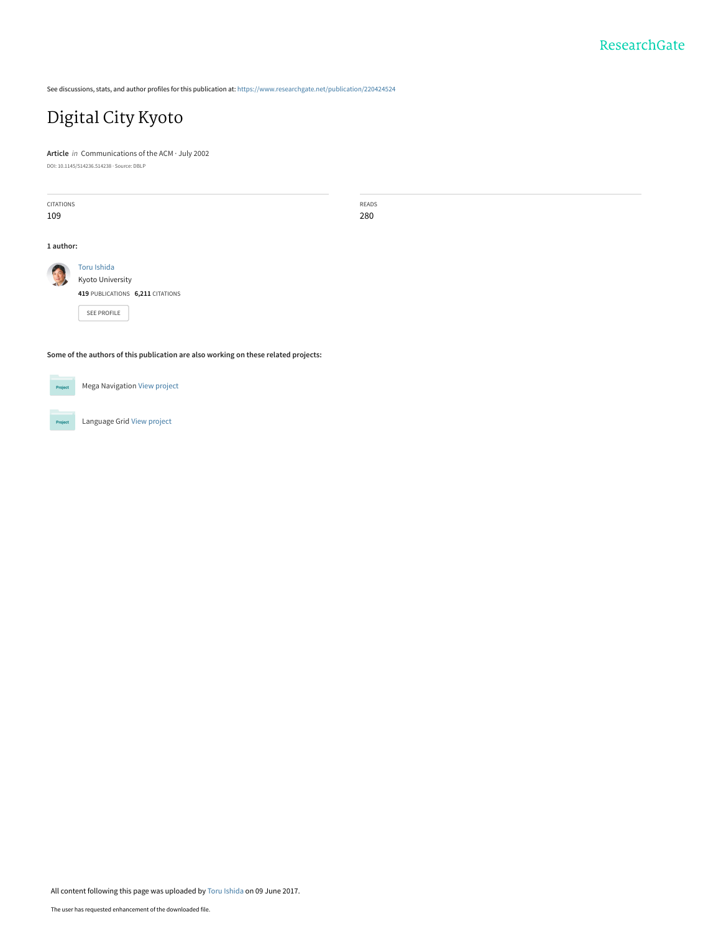See discussions, stats, and author profiles for this publication at: [https://www.researchgate.net/publication/220424524](https://www.researchgate.net/publication/220424524_Digital_City_Kyoto?enrichId=rgreq-0dfd307d1f09ba5e81fd3762806670e2-XXX&enrichSource=Y292ZXJQYWdlOzIyMDQyNDUyNDtBUzo1MDMxODkxMzI4MDQwOTZAMTQ5Njk4MTA0NjQ2NA%3D%3D&el=1_x_2&_esc=publicationCoverPdf)

# [Digital City Kyoto](https://www.researchgate.net/publication/220424524_Digital_City_Kyoto?enrichId=rgreq-0dfd307d1f09ba5e81fd3762806670e2-XXX&enrichSource=Y292ZXJQYWdlOzIyMDQyNDUyNDtBUzo1MDMxODkxMzI4MDQwOTZAMTQ5Njk4MTA0NjQ2NA%3D%3D&el=1_x_3&_esc=publicationCoverPdf)

**Article** in Communications of the ACM · July 2002 DOI: 10.1145/514236.514238 · Source: DBLP

| CITATIONS                                                                           |                                  | READS |  |  |
|-------------------------------------------------------------------------------------|----------------------------------|-------|--|--|
| 109                                                                                 |                                  | 280   |  |  |
| 1 author:                                                                           |                                  |       |  |  |
|                                                                                     | Toru Ishida                      |       |  |  |
|                                                                                     | Kyoto University                 |       |  |  |
|                                                                                     | 419 PUBLICATIONS 6,211 CITATIONS |       |  |  |
|                                                                                     | SEE PROFILE                      |       |  |  |
| Some of the authors of this publication are also working on these related projects: |                                  |       |  |  |



Project

Mega Navigation [View project](https://www.researchgate.net/project/Mega-Navigation?enrichId=rgreq-0dfd307d1f09ba5e81fd3762806670e2-XXX&enrichSource=Y292ZXJQYWdlOzIyMDQyNDUyNDtBUzo1MDMxODkxMzI4MDQwOTZAMTQ5Njk4MTA0NjQ2NA%3D%3D&el=1_x_9&_esc=publicationCoverPdf)

Language Grid [View project](https://www.researchgate.net/project/Language-Grid-2?enrichId=rgreq-0dfd307d1f09ba5e81fd3762806670e2-XXX&enrichSource=Y292ZXJQYWdlOzIyMDQyNDUyNDtBUzo1MDMxODkxMzI4MDQwOTZAMTQ5Njk4MTA0NjQ2NA%3D%3D&el=1_x_9&_esc=publicationCoverPdf)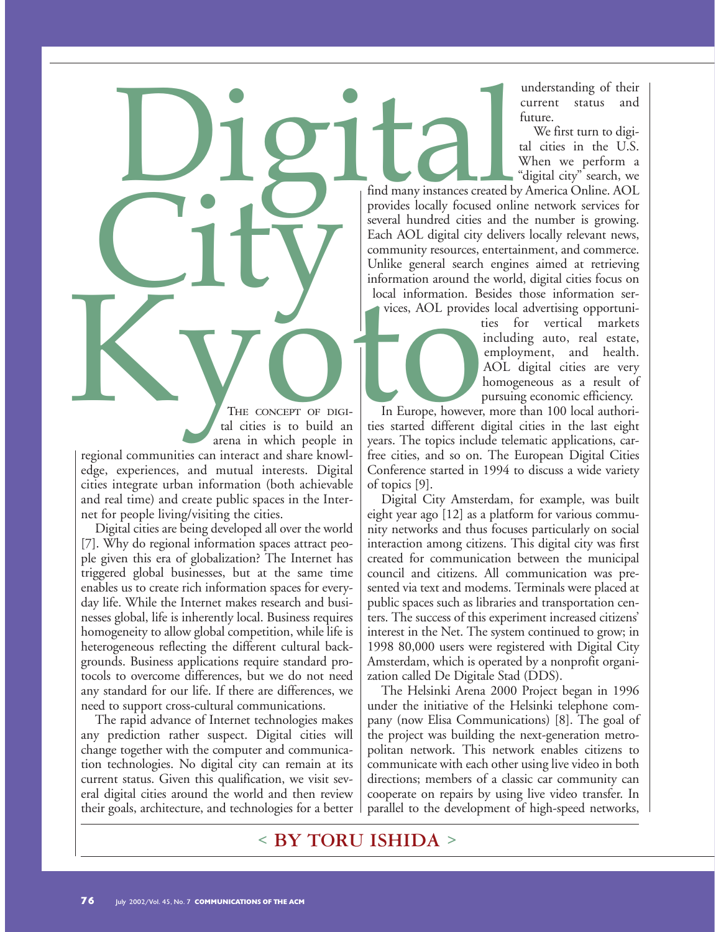understanding of their current status and future.

We first turn to digital cities in the U.S. When we perform a "digital city" search, we

find many instances created by America Online. AOL provides locally focused online network services for several hundred cities and the number is growing. Each AOL digital city delivers locally relevant news, community resources, entertainment, and commerce. Unlike general search engines aimed at retrieving information around the world, digital cities focus on local information. Besides those information services, AOL provides local advertising opportuni-Digital

> ties for vertical markets including auto, real estate, employment, and health. AOL digital cities are very homogeneous as a result of pursuing economic efficiency.

In Europe, however, more than 100 local authorities started different digital cities in the last eight years. The topics include telematic applications, carfree cities, and so on. The European Digital Cities Conference started in 1994 to discuss a wide variety of topics [9].

Digital City Amsterdam, for example, was built eight year ago [12] as a platform for various community networks and thus focuses particularly on social interaction among citizens. This digital city was first created for communication between the municipal council and citizens. All communication was presented via text and modems. Terminals were placed at public spaces such as libraries and transportation centers. The success of this experiment increased citizens' interest in the Net. The system continued to grow; in 1998 80,000 users were registered with Digital City Amsterdam, which is operated by a nonprofit organization called De Digitale Stad (DDS).

The Helsinki Arena 2000 Project began in 1996 under the initiative of the Helsinki telephone company (now Elisa Communications) [8]. The goal of the project was building the next-generation metropolitan network. This network enables citizens to communicate with each other using live video in both directions; members of a classic car community can cooperate on repairs by using live video transfer. In parallel to the development of high-speed networks,

## **< BY TORU ISHIDA >**

The concept of digital cities is to build an arena in which people in regional communities can interact and share knowledge, experiences, and mutual interests. Digital cities integrate urban information (both achievable and real time) and create public spaces in the Internet for people living/visiting the cities. local information. B<br>vices, AOL provide<br>vices, AOL provide<br>tal cities is to build an<br>arena in which people in vers The topics inclu

City

Digital cities are being developed all over the world [7]. Why do regional information spaces attract people given this era of globalization? The Internet has triggered global businesses, but at the same time enables us to create rich information spaces for everyday life. While the Internet makes research and businesses global, life is inherently local. Business requires homogeneity to allow global competition, while life is heterogeneous reflecting the different cultural backgrounds. Business applications require standard protocols to overcome differences, but we do not need any standard for our life. If there are differences, we need to support cross-cultural communications.

The rapid advance of Internet technologies makes any prediction rather suspect. Digital cities will change together with the computer and communication technologies. No digital city can remain at its current status. Given this qualification, we visit several digital cities around the world and then review their goals, architecture, and technologies for a better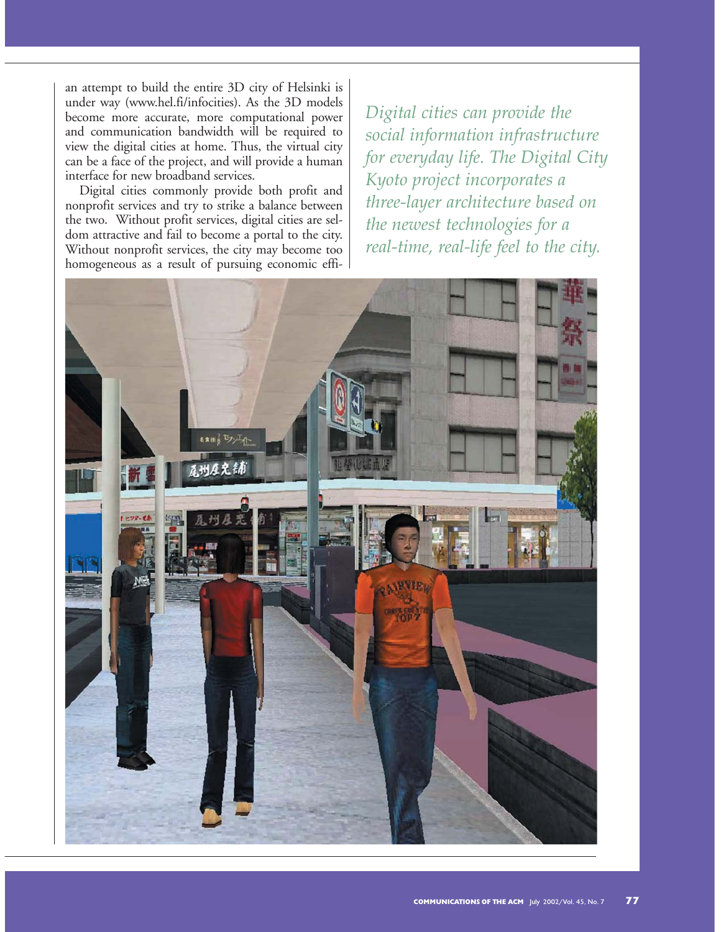an attempt to build the entire 3D city of Helsinki is under way (www.hel.fi/infocities). As the 3D models become more accurate, more computational power and communication bandwidth will be required to view the digital cities at home. Thus, the virtual city can be a face of the project, and will provide a human interface for new broadband services.

Digital cities commonly provide both profit and nonprofit services and try to strike a balance between the two. Without profit services, digital cities are seldom attractive and fail to become a portal to the city. Without nonprofit services, the city may become too homogeneous as a result of pursuing economic effi-

*Digital cities can provide the social information infrastructure for everyday life. The Digital City Kyoto project incorporates a three-layer architecture based on the newest technologies for a real-time, real-life feel to the city.*

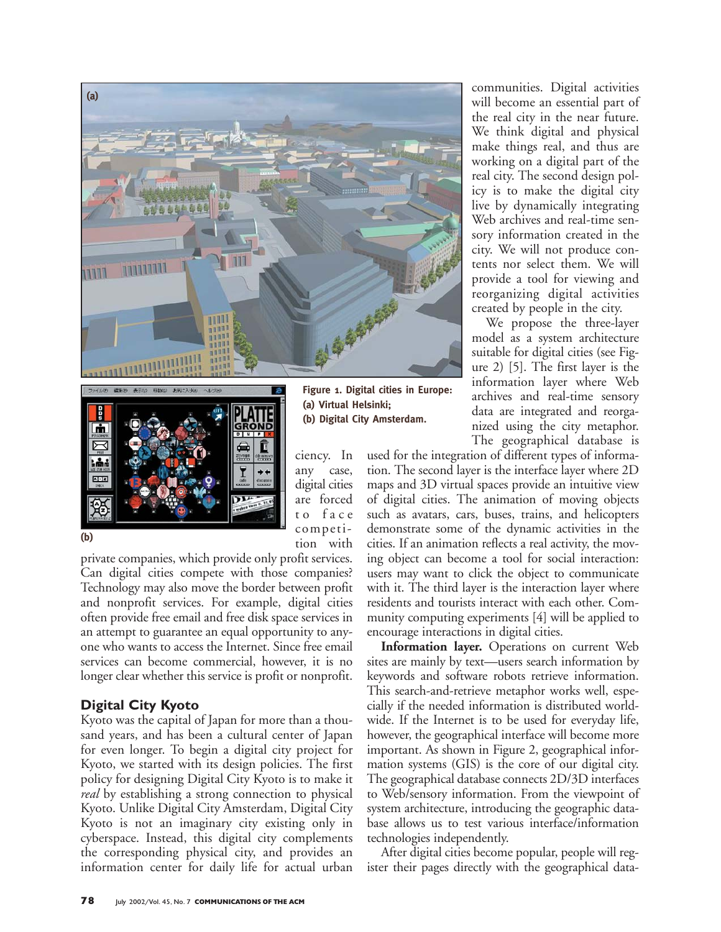



**Figure 1. Digital cities in Europe: (a) Virtual Helsinki; (b) Digital City Amsterdam.**

ciency. In any case, digital cities are forced to face competition with

**(b)**

private companies, which provide only profit services. Can digital cities compete with those companies? Technology may also move the border between profit and nonprofit services. For example, digital cities often provide free email and free disk space services in an attempt to guarantee an equal opportunity to anyone who wants to access the Internet. Since free email services can become commercial, however, it is no longer clear whether this service is profit or nonprofit.

### **Digital City Kyoto**

Kyoto was the capital of Japan for more than a thousand years, and has been a cultural center of Japan for even longer. To begin a digital city project for Kyoto, we started with its design policies. The first policy for designing Digital City Kyoto is to make it *real* by establishing a strong connection to physical Kyoto. Unlike Digital City Amsterdam, Digital City Kyoto is not an imaginary city existing only in cyberspace. Instead, this digital city complements the corresponding physical city, and provides an information center for daily life for actual urban

communities. Digital activities will become an essential part of the real city in the near future. We think digital and physical make things real, and thus are working on a digital part of the real city. The second design policy is to make the digital city live by dynamically integrating Web archives and real-time sensory information created in the city. We will not produce contents nor select them. We will provide a tool for viewing and reorganizing digital activities created by people in the city.

We propose the three-layer model as a system architecture suitable for digital cities (see Figure 2) [5]. The first layer is the information layer where Web archives and real-time sensory data are integrated and reorganized using the city metaphor. The geographical database is

used for the integration of different types of information. The second layer is the interface layer where 2D maps and 3D virtual spaces provide an intuitive view of digital cities. The animation of moving objects such as avatars, cars, buses, trains, and helicopters demonstrate some of the dynamic activities in the cities. If an animation reflects a real activity, the moving object can become a tool for social interaction: users may want to click the object to communicate with it. The third layer is the interaction layer where residents and tourists interact with each other. Community computing experiments [4] will be applied to encourage interactions in digital cities.

**Information layer.** Operations on current Web sites are mainly by text—users search information by keywords and software robots retrieve information. This search-and-retrieve metaphor works well, especially if the needed information is distributed worldwide. If the Internet is to be used for everyday life, however, the geographical interface will become more important. As shown in Figure 2, geographical information systems (GIS) is the core of our digital city. The geographical database connects 2D/3D interfaces to Web/sensory information. From the viewpoint of system architecture, introducing the geographic database allows us to test various interface/information technologies independently.

After digital cities become popular, people will register their pages directly with the geographical data-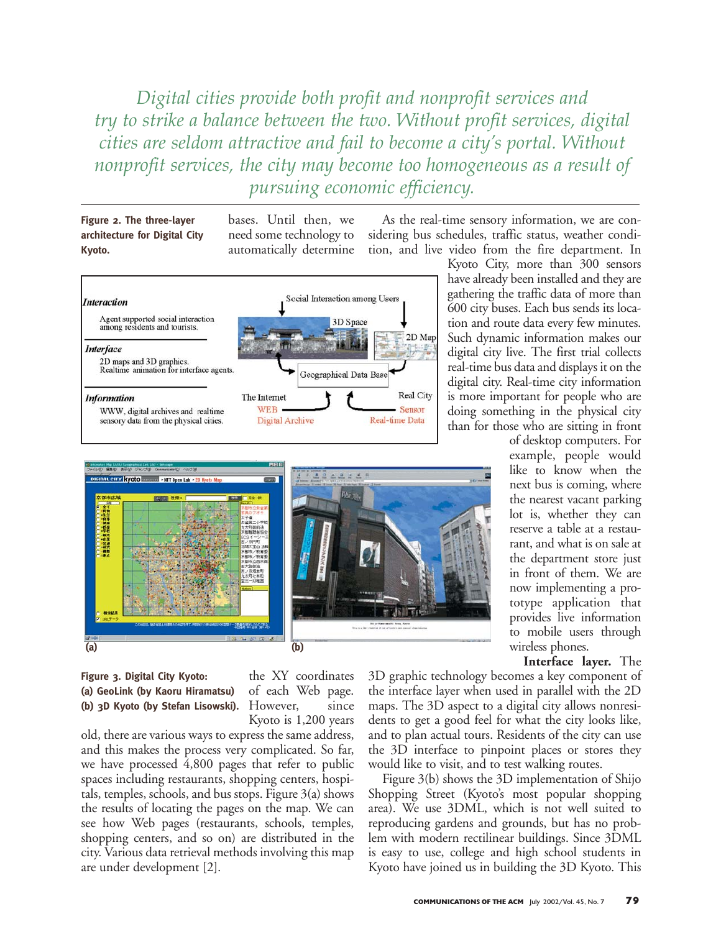*Digital cities provide both profit and nonprofit services and try to strike a balance between the two. Without profit services, digital cities are seldom attractive and fail to become a city's portal. Without nonprofit services, the city may become too homogeneous as a result of pursuing economic efficiency.*

**Figure 2. The three-layer architecture for Digital City Kyoto.**

bases. Until then, we need some technology to automatically determine

As the real-time sensory information, we are considering bus schedules, traffic status, weather condition, and live video from the fire department. In



**FITAL CITY KYOTO ...** - NTT Open Lab 食欲感学 観念交通完整事情業務 光菜 通完 **(a) (b)**

**Figure 3. Digital City Kyoto: (a) GeoLink (by Kaoru Hiramatsu) (b) 3D Kyoto (by Stefan Lisowski).**

the XY coordinates of each Web page. However, since Kyoto is 1,200 years

old, there are various ways to express the same address, and this makes the process very complicated. So far, we have processed 4,800 pages that refer to public spaces including restaurants, shopping centers, hospitals, temples, schools, and bus stops. Figure 3(a) shows the results of locating the pages on the map. We can see how Web pages (restaurants, schools, temples, shopping centers, and so on) are distributed in the city. Various data retrieval methods involving this map are under development [2].

Kyoto City, more than 300 sensors have already been installed and they are gathering the traffic data of more than 600 city buses. Each bus sends its location and route data every few minutes. Such dynamic information makes our digital city live. The first trial collects real-time bus data and displays it on the digital city. Real-time city information is more important for people who are doing something in the physical city than for those who are sitting in front

of desktop computers. For example, people would like to know when the next bus is coming, where the nearest vacant parking lot is, whether they can reserve a table at a restaurant, and what is on sale at the department store just in front of them. We are now implementing a prototype application that provides live information to mobile users through wireless phones.

**Interface layer.** The

3D graphic technology becomes a key component of the interface layer when used in parallel with the 2D maps. The 3D aspect to a digital city allows nonresidents to get a good feel for what the city looks like, and to plan actual tours. Residents of the city can use the 3D interface to pinpoint places or stores they would like to visit, and to test walking routes.

Figure 3(b) shows the 3D implementation of Shijo Shopping Street (Kyoto's most popular shopping area). We use 3DML, which is not well suited to reproducing gardens and grounds, but has no problem with modern rectilinear buildings. Since 3DML is easy to use, college and high school students in Kyoto have joined us in building the 3D Kyoto. This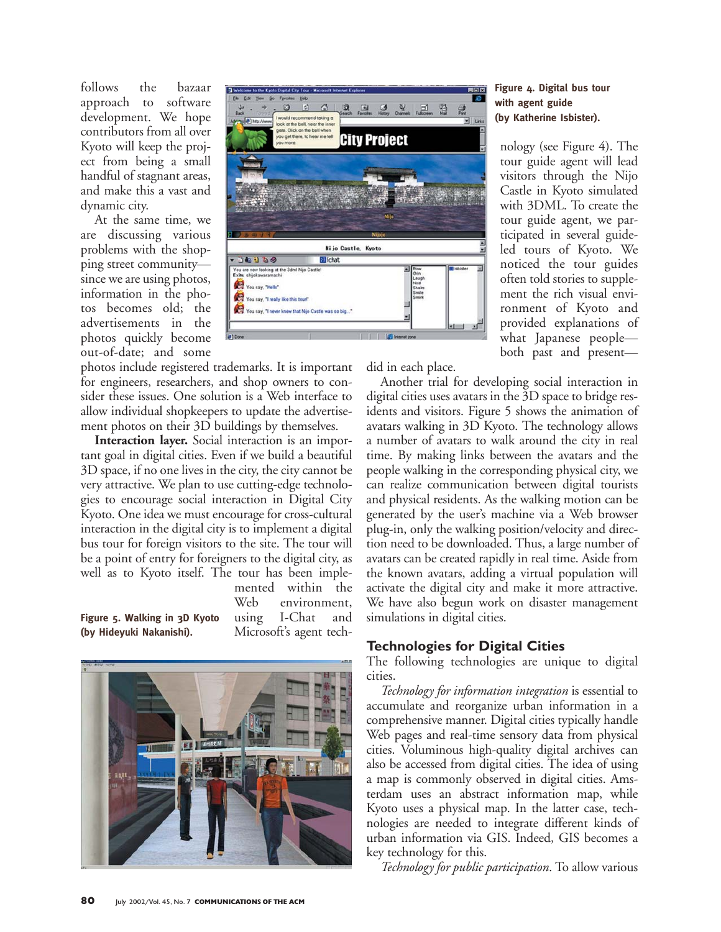follows the bazaar approach to software development. We hope contributors from all over Kyoto will keep the project from being a small handful of stagnant areas, and make this a vast and dynamic city.

At the same time, we are discussing various problems with the shopping street community since we are using photos, information in the photos becomes old; the advertisements in the photos quickly become out-of-date; and some

photos include registered trademarks. It is important for engineers, researchers, and shop owners to consider these issues. One solution is a Web interface to allow individual shopkeepers to update the advertisement photos on their 3D buildings by themselves.

**Interaction layer.** Social interaction is an important goal in digital cities. Even if we build a beautiful 3D space, if no one lives in the city, the city cannot be very attractive. We plan to use cutting-edge technologies to encourage social interaction in Digital City Kyoto. One idea we must encourage for cross-cultural interaction in the digital city is to implement a digital bus tour for foreign visitors to the site. The tour will be a point of entry for foreigners to the digital city, as well as to Kyoto itself. The tour has been imple-

**Figure 5. Walking in 3D Kyoto (by Hideyuki Nakanishi).**

mented within the Web environment, using I-Chat and Microsoft's agent tech-





**Figure 4. Digital bus tour with agent guide (by Katherine Isbister).**

nology (see Figure 4). The tour guide agent will lead visitors through the Nijo Castle in Kyoto simulated with 3DML. To create the tour guide agent, we participated in several guideled tours of Kyoto. We noticed the tour guides often told stories to supplement the rich visual environment of Kyoto and provided explanations of what Japanese people both past and present—

did in each place.

Another trial for developing social interaction in digital cities uses avatars in the 3D space to bridge residents and visitors. Figure 5 shows the animation of avatars walking in 3D Kyoto. The technology allows a number of avatars to walk around the city in real time. By making links between the avatars and the people walking in the corresponding physical city, we can realize communication between digital tourists and physical residents. As the walking motion can be generated by the user's machine via a Web browser plug-in, only the walking position/velocity and direction need to be downloaded. Thus, a large number of avatars can be created rapidly in real time. Aside from the known avatars, adding a virtual population will activate the digital city and make it more attractive. We have also begun work on disaster management simulations in digital cities.

#### **Technologies for Digital Cities**

The following technologies are unique to digital cities.

*Technology for information integration* is essential to accumulate and reorganize urban information in a comprehensive manner. Digital cities typically handle Web pages and real-time sensory data from physical cities. Voluminous high-quality digital archives can also be accessed from digital cities. The idea of using a map is commonly observed in digital cities. Amsterdam uses an abstract information map, while Kyoto uses a physical map. In the latter case, technologies are needed to integrate different kinds of urban information via GIS. Indeed, GIS becomes a key technology for this.

*Technology for public participation*. To allow various